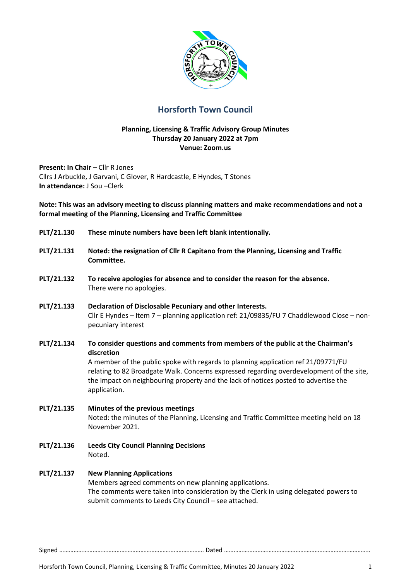

# **Horsforth Town Council**

#### **Planning, Licensing & Traffic Advisory Group Minutes Thursday 20 January 2022 at 7pm Venue: Zoom.us**

**Present: In Chair - Cllr R Jones** Cllrs J Arbuckle, J Garvani, C Glover, R Hardcastle, E Hyndes, T Stones **In attendance:** J Sou –Clerk

**Note: This was an advisory meeting to discuss planning matters and make recommendations and not a formal meeting of the Planning, Licensing and Traffic Committee** 

- **PLT/21.130 These minute numbers have been left blank intentionally.**
- **PLT/21.131 Noted: the resignation of Cllr R Capitano from the Planning, Licensing and Traffic Committee.**
- **PLT/21.132 To receive apologies for absence and to consider the reason for the absence.**  There were no apologies.
- **PLT/21.133 Declaration of Disclosable Pecuniary and other Interests.**  Cllr E Hyndes – Item 7 – planning application ref: 21/09835/FU 7 Chaddlewood Close – nonpecuniary interest
- **PLT/21.134 To consider questions and comments from members of the public at the Chairman's discretion**

A member of the public spoke with regards to planning application ref 21/09771/FU relating to 82 Broadgate Walk. Concerns expressed regarding overdevelopment of the site, the impact on neighbouring property and the lack of notices posted to advertise the application.

- **PLT/21.135 Minutes of the previous meetings**  Noted: the minutes of the Planning, Licensing and Traffic Committee meeting held on 18 November 2021.
- **PLT/21.136 Leeds City Council Planning Decisions**  Noted.

# **PLT/21.137 New Planning Applications**

Members agreed comments on new planning applications. The comments were taken into consideration by the Clerk in using delegated powers to submit comments to Leeds City Council – see attached.

Signed ………………………………………………………………………………. Dated ………………………………………………………………………………..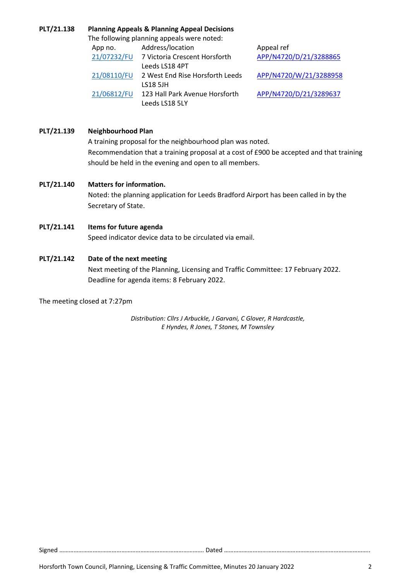#### **PLT/21.138 Planning Appeals & Planning Appeal Decisions**

The following planning appeals were noted:

| App no.     | Address/location                | Appeal ref             |
|-------------|---------------------------------|------------------------|
| 21/07232/FU | 7 Victoria Crescent Horsforth   | APP/N4720/D/21/3288865 |
|             | Leeds LS18 4PT                  |                        |
| 21/08110/FU | 2 West End Rise Horsforth Leeds | APP/N4720/W/21/3288958 |
|             | <b>LS18 5JH</b>                 |                        |
| 21/06812/FU | 123 Hall Park Avenue Horsforth  | APP/N4720/D/21/3289637 |
|             | Leeds LS18 5LY                  |                        |

# **PLT/21.139 Neighbourhood Plan**

A training proposal for the neighbourhood plan was noted. Recommendation that a training proposal at a cost of £900 be accepted and that training should be held in the evening and open to all members.

### **PLT/21.140 Matters for information.**

Noted: the planning application for Leeds Bradford Airport has been called in by the Secretary of State.

### **PLT/21.141 Items for future agenda**

Speed indicator device data to be circulated via email.

# **PLT/21.142 Date of the next meeting**

Next meeting of the Planning, Licensing and Traffic Committee: 17 February 2022. Deadline for agenda items: 8 February 2022.

The meeting closed at 7:27pm

*Distribution: Cllrs J Arbuckle, J Garvani, C Glover, R Hardcastle, E Hyndes, R Jones, T Stones, M Townsley* 

Signed ………………………………………………………………………………. Dated ………………………………………………………………………………..

Horsforth Town Council, Planning, Licensing & Traffic Committee, Minutes 20 January 2022 2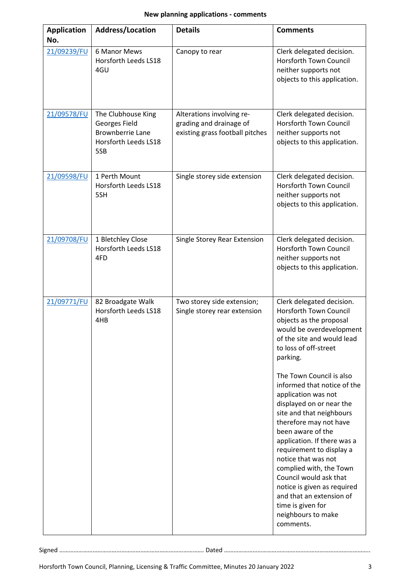| <b>Application</b><br>No. | Address/Location                                                                              | <b>Details</b>                                                                          | <b>Comments</b>                                                                                                                                                                                                                                                                                                                                                                                                                                 |
|---------------------------|-----------------------------------------------------------------------------------------------|-----------------------------------------------------------------------------------------|-------------------------------------------------------------------------------------------------------------------------------------------------------------------------------------------------------------------------------------------------------------------------------------------------------------------------------------------------------------------------------------------------------------------------------------------------|
| 21/09239/FU               | 6 Manor Mews<br>Horsforth Leeds LS18<br>4GU                                                   | Canopy to rear                                                                          | Clerk delegated decision.<br>Horsforth Town Council<br>neither supports not<br>objects to this application.                                                                                                                                                                                                                                                                                                                                     |
| 21/09578/FU               | The Clubhouse King<br>Georges Field<br><b>Brownberrie Lane</b><br>Horsforth Leeds LS18<br>5SB | Alterations involving re-<br>grading and drainage of<br>existing grass football pitches | Clerk delegated decision.<br><b>Horsforth Town Council</b><br>neither supports not<br>objects to this application.                                                                                                                                                                                                                                                                                                                              |
| 21/09598/FU               | 1 Perth Mount<br>Horsforth Leeds LS18<br>5SH                                                  | Single storey side extension                                                            | Clerk delegated decision.<br>Horsforth Town Council<br>neither supports not<br>objects to this application.                                                                                                                                                                                                                                                                                                                                     |
| 21/09708/FU               | 1 Bletchley Close<br>Horsforth Leeds LS18<br>4FD                                              | Single Storey Rear Extension                                                            | Clerk delegated decision.<br>Horsforth Town Council<br>neither supports not<br>objects to this application.                                                                                                                                                                                                                                                                                                                                     |
| 21/09771/FU               | 82 Broadgate Walk<br>Horsforth Leeds LS18<br>4HB                                              | Two storey side extension;<br>Single storey rear extension                              | Clerk delegated decision.<br>Horsforth Town Council<br>objects as the proposal<br>would be overdevelopment<br>of the site and would lead<br>to loss of off-street<br>parking.                                                                                                                                                                                                                                                                   |
|                           |                                                                                               |                                                                                         | The Town Council is also<br>informed that notice of the<br>application was not<br>displayed on or near the<br>site and that neighbours<br>therefore may not have<br>been aware of the<br>application. If there was a<br>requirement to display a<br>notice that was not<br>complied with, the Town<br>Council would ask that<br>notice is given as required<br>and that an extension of<br>time is given for<br>neighbours to make<br>comments. |

Signed ………………………………………………………………………………. Dated ………………………………………………………………………………..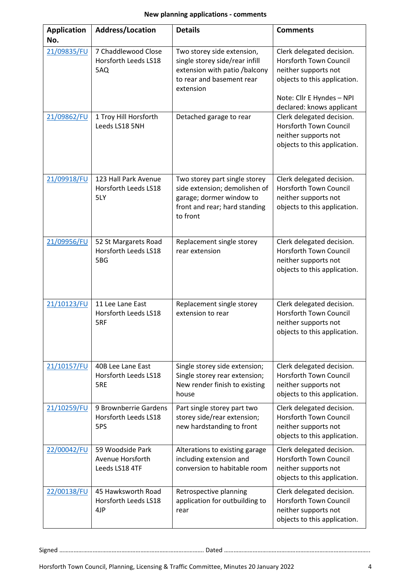| <b>Application</b><br>No. | Address/Location                                       | <b>Details</b>                                                                                                                          | <b>Comments</b>                                                                                                                          |
|---------------------------|--------------------------------------------------------|-----------------------------------------------------------------------------------------------------------------------------------------|------------------------------------------------------------------------------------------------------------------------------------------|
| 21/09835/FU               | 7 Chaddlewood Close<br>Horsforth Leeds LS18<br>5AQ     | Two storey side extension,<br>single storey side/rear infill<br>extension with patio /balcony<br>to rear and basement rear<br>extension | Clerk delegated decision.<br>Horsforth Town Council<br>neither supports not<br>objects to this application.<br>Note: Cllr E Hyndes - NPI |
|                           |                                                        |                                                                                                                                         | declared: knows applicant                                                                                                                |
| 21/09862/FU               | 1 Troy Hill Horsforth<br>Leeds LS18 5NH                | Detached garage to rear                                                                                                                 | Clerk delegated decision.<br>Horsforth Town Council<br>neither supports not<br>objects to this application.                              |
| 21/09918/FU               | 123 Hall Park Avenue<br>Horsforth Leeds LS18<br>5LY    | Two storey part single storey<br>side extension; demolishen of<br>garage; dormer window to<br>front and rear; hard standing<br>to front | Clerk delegated decision.<br>Horsforth Town Council<br>neither supports not<br>objects to this application.                              |
| 21/09956/FU               | 52 St Margarets Road<br>Horsforth Leeds LS18<br>5BG    | Replacement single storey<br>rear extension                                                                                             | Clerk delegated decision.<br>Horsforth Town Council<br>neither supports not<br>objects to this application.                              |
| 21/10123/FU               | 11 Lee Lane East<br>Horsforth Leeds LS18<br>5RF        | Replacement single storey<br>extension to rear                                                                                          | Clerk delegated decision.<br>Horsforth Town Council<br>neither supports not<br>objects to this application.                              |
| 21/10157/FU               | 40B Lee Lane East<br>Horsforth Leeds LS18<br>5RE       | Single storey side extension;<br>Single storey rear extension;<br>New render finish to existing<br>house                                | Clerk delegated decision.<br><b>Horsforth Town Council</b><br>neither supports not<br>objects to this application.                       |
| 21/10259/FU               | 9 Brownberrie Gardens<br>Horsforth Leeds LS18<br>5PS   | Part single storey part two<br>storey side/rear extension;<br>new hardstanding to front                                                 | Clerk delegated decision.<br>Horsforth Town Council<br>neither supports not<br>objects to this application.                              |
| 22/00042/FU               | 59 Woodside Park<br>Avenue Horsforth<br>Leeds LS18 4TF | Alterations to existing garage<br>including extension and<br>conversion to habitable room                                               | Clerk delegated decision.<br>Horsforth Town Council<br>neither supports not<br>objects to this application.                              |
| 22/00138/FU               | 45 Hawksworth Road<br>Horsforth Leeds LS18<br>4JP      | Retrospective planning<br>application for outbuilding to<br>rear                                                                        | Clerk delegated decision.<br>Horsforth Town Council<br>neither supports not<br>objects to this application.                              |

Signed ………………………………………………………………………………. Dated ………………………………………………………………………………..